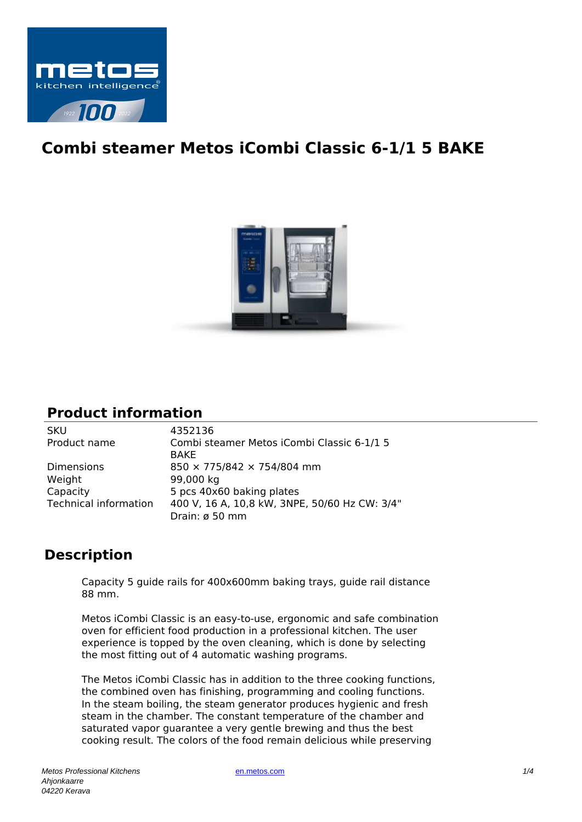

## **Combi steamer Metos iCombi Classic 6-1/1 5 BAKE**



## **Product information**

| <b>SKU</b>                   | 4352136                                       |
|------------------------------|-----------------------------------------------|
| Product name                 | Combi steamer Metos iCombi Classic 6-1/1 5    |
|                              | <b>BAKE</b>                                   |
| <b>Dimensions</b>            | 850 × 775/842 × 754/804 mm                    |
| Weight                       | 99,000 kg                                     |
| Capacity                     | 5 pcs 40x60 baking plates                     |
| <b>Technical information</b> | 400 V, 16 A, 10,8 kW, 3NPE, 50/60 Hz CW: 3/4" |
|                              | Drain: ø 50 mm                                |

## **Description**

Capacity 5 guide rails for 400x600mm baking trays, guide rail distance 88 mm.

Metos iCombi Classic is an easy-to-use, ergonomic and safe combination oven for efficient food production in a professional kitchen. The user experience is topped by the oven cleaning, which is done by selecting the most fitting out of 4 automatic washing programs.

The Metos iCombi Classic has in addition to the three cooking functions, the combined oven has finishing, programming and cooling functions. In the steam boiling, the steam generator produces hygienic and fresh steam in the chamber. The constant temperature of the chamber and saturated vapor guarantee a very gentle brewing and thus the best cooking result. The colors of the food remain delicious while preserving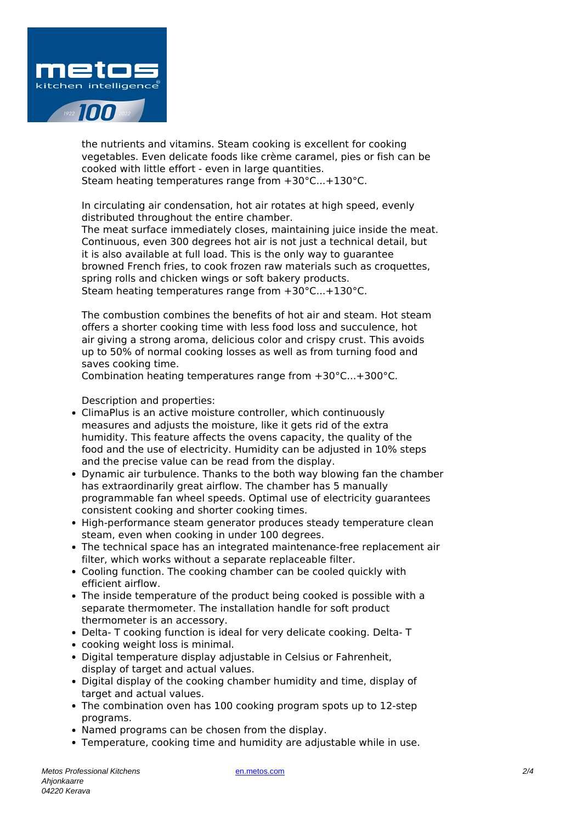

the nutrients and vitamins. Steam cooking is excellent for cooking vegetables. Even delicate foods like crème caramel, pies or fish can be cooked with little effort - even in large quantities. Steam heating temperatures range from +30°C...+130°C.

In circulating air condensation, hot air rotates at high speed, evenly distributed throughout the entire chamber.

The meat surface immediately closes, maintaining juice inside the meat. Continuous, even 300 degrees hot air is not just a technical detail, but it is also available at full load. This is the only way to guarantee browned French fries, to cook frozen raw materials such as croquettes, spring rolls and chicken wings or soft bakery products. Steam heating temperatures range from +30°C...+130°C.

The combustion combines the benefits of hot air and steam. Hot steam offers a shorter cooking time with less food loss and succulence, hot air giving a strong aroma, delicious color and crispy crust. This avoids up to 50% of normal cooking losses as well as from turning food and saves cooking time.

Combination heating temperatures range from +30°C...+300°C.

Description and properties:

- ClimaPlus is an active moisture controller, which continuously measures and adjusts the moisture, like it gets rid of the extra humidity. This feature affects the ovens capacity, the quality of the food and the use of electricity. Humidity can be adjusted in 10% steps and the precise value can be read from the display.
- Dynamic air turbulence. Thanks to the both way blowing fan the chamber has extraordinarily great airflow. The chamber has 5 manually programmable fan wheel speeds. Optimal use of electricity guarantees consistent cooking and shorter cooking times.
- High-performance steam generator produces steady temperature clean steam, even when cooking in under 100 degrees.
- The technical space has an integrated maintenance-free replacement air filter, which works without a separate replaceable filter.
- Cooling function. The cooking chamber can be cooled quickly with efficient airflow.
- The inside temperature of the product being cooked is possible with a separate thermometer. The installation handle for soft product thermometer is an accessory.
- Delta- T cooking function is ideal for very delicate cooking. Delta- T
- cooking weight loss is minimal.
- Digital temperature display adjustable in Celsius or Fahrenheit, display of target and actual values.
- Digital display of the cooking chamber humidity and time, display of target and actual values.
- The combination oven has 100 cooking program spots up to 12-step programs.
- Named programs can be chosen from the display.
- Temperature, cooking time and humidity are adjustable while in use.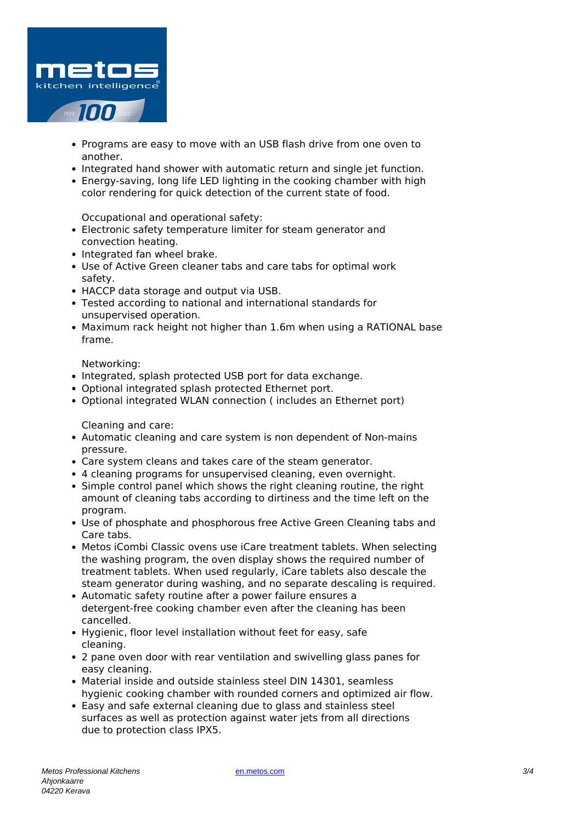

- Programs are easy to move with an USB flash drive from one oven to another.
- Integrated hand shower with automatic return and single jet function.
- Energy-saving, long life LED lighting in the cooking chamber with high color rendering for quick detection of the current state of food.

Occupational and operational safety:

- Electronic safety temperature limiter for steam generator and convection heating.
- Integrated fan wheel brake.
- Use of Active Green cleaner tabs and care tabs for optimal work safety.
- HACCP data storage and output via USB.
- Tested according to national and international standards for unsupervised operation.
- Maximum rack height not higher than 1.6m when using a RATIONAL base frame.

Networking:

- Integrated, splash protected USB port for data exchange.
- Optional integrated splash protected Ethernet port.
- Optional integrated WLAN connection ( includes an Ethernet port)

Cleaning and care:

- Automatic cleaning and care system is non dependent of Non-mains pressure.
- Care system cleans and takes care of the steam generator.
- 4 cleaning programs for unsupervised cleaning, even overnight.
- Simple control panel which shows the right cleaning routine, the right amount of cleaning tabs according to dirtiness and the time left on the program.
- Use of phosphate and phosphorous free Active Green Cleaning tabs and Care tabs.
- Metos iCombi Classic ovens use iCare treatment tablets. When selecting the washing program, the oven display shows the required number of treatment tablets. When used regularly, iCare tablets also descale the steam generator during washing, and no separate descaling is required.
- Automatic safety routine after a power failure ensures a detergent-free cooking chamber even after the cleaning has been cancelled.
- Hygienic, floor level installation without feet for easy, safe cleaning.
- 2 pane oven door with rear ventilation and swivelling glass panes for easy cleaning.
- Material inside and outside stainless steel DIN 14301, seamless hygienic cooking chamber with rounded corners and optimized air flow.
- Easy and safe external cleaning due to glass and stainless steel surfaces as well as protection against water jets from all directions due to protection class IPX5.